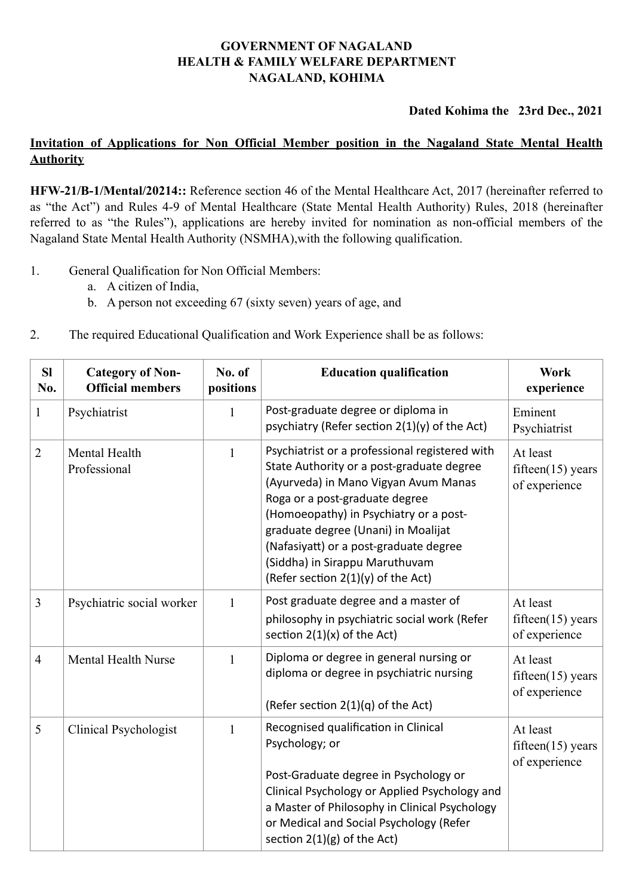## **GOVERNMENT OF NAGALAND HEALTH & FAMILY WELFARE DEPARTMENT NAGALAND, KOHIMA**

**Dated Kohima the 23rd Dec., 2021**

## **Invitation of Applications for Non Official Member position in the Nagaland State Mental Health Authority**

**HFW-21/B-1/Mental/20214::** Reference section 46 of the Mental Healthcare Act, 2017 (hereinafter referred to as "the Act") and Rules 4-9 of Mental Healthcare (State Mental Health Authority) Rules, 2018 (hereinafter referred to as "the Rules"), applications are hereby invited for nomination as non-official members of the Nagaland State Mental Health Authority (NSMHA),with the following qualification.

- 1. General Qualification for Non Official Members:
	- a. A citizen of India,
	- b. A person not exceeding 67 (sixty seven) years of age, and
- 2. The required Educational Qualification and Work Experience shall be as follows:

| <b>SI</b><br>No. | <b>Category of Non-</b><br><b>Official members</b> | No. of<br>positions | <b>Education qualification</b>                                                                                                                                                                                                                                                                                                                                             | <b>Work</b><br>experience                         |
|------------------|----------------------------------------------------|---------------------|----------------------------------------------------------------------------------------------------------------------------------------------------------------------------------------------------------------------------------------------------------------------------------------------------------------------------------------------------------------------------|---------------------------------------------------|
| $\mathbf{1}$     | Psychiatrist                                       | $\mathbf{1}$        | Post-graduate degree or diploma in<br>psychiatry (Refer section 2(1)(y) of the Act)                                                                                                                                                                                                                                                                                        | Eminent<br>Psychiatrist                           |
| $\overline{2}$   | Mental Health<br>Professional                      | $\mathbf{1}$        | Psychiatrist or a professional registered with<br>State Authority or a post-graduate degree<br>(Ayurveda) in Mano Vigyan Avum Manas<br>Roga or a post-graduate degree<br>(Homoeopathy) in Psychiatry or a post-<br>graduate degree (Unani) in Moalijat<br>(Nafasiyatt) or a post-graduate degree<br>(Siddha) in Sirappu Maruthuvam<br>(Refer section $2(1)(y)$ of the Act) | At least<br>fifteen $(15)$ years<br>of experience |
| 3                | Psychiatric social worker                          | $\mathbf{1}$        | Post graduate degree and a master of<br>philosophy in psychiatric social work (Refer<br>section $2(1)(x)$ of the Act)                                                                                                                                                                                                                                                      | At least<br>fifteen $(15)$ years<br>of experience |
| $\overline{4}$   | Mental Health Nurse                                | $\mathbf{1}$        | Diploma or degree in general nursing or<br>diploma or degree in psychiatric nursing<br>(Refer section 2(1)(q) of the Act)                                                                                                                                                                                                                                                  | At least<br>fifteen $(15)$ years<br>of experience |
| 5                | <b>Clinical Psychologist</b>                       | $\mathbf{1}$        | Recognised qualification in Clinical<br>Psychology; or<br>Post-Graduate degree in Psychology or<br>Clinical Psychology or Applied Psychology and<br>a Master of Philosophy in Clinical Psychology<br>or Medical and Social Psychology (Refer<br>section $2(1)(g)$ of the Act)                                                                                              | At least<br>fifteen $(15)$ years<br>of experience |